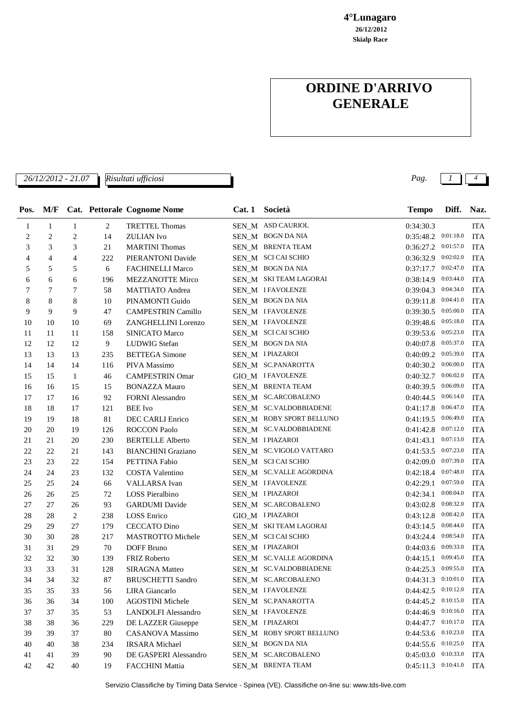**Skialp Race 26/12/2012 4°Lunagaro**

## **ORDINE D'ARRIVO GENERALE**

*26/12/2012 - 21.07 Pag. 1 4*

| Pos.                        |              |                |     | M/F Cat. Pettorale Cognome Nome | Cat. 1 Società           | <b>Tempo</b>            | Diff.     | Naz.       |
|-----------------------------|--------------|----------------|-----|---------------------------------|--------------------------|-------------------------|-----------|------------|
| 1                           | $\mathbf{1}$ | 1              | 2   | <b>TRETTEL Thomas</b>           | SEN_M ASD CAURIOL        | 0:34:30.3               |           | <b>ITA</b> |
| $\overline{c}$              | 2            | $\overline{2}$ | 14  | <b>ZULIAN</b> Ivo               | SEN_M BOGN DA NIA        | 0:35:48.2 0:01:18.0     |           | <b>ITA</b> |
| $\ensuremath{\mathfrak{Z}}$ | 3            | 3              | 21  | <b>MARTINI</b> Thomas           | SEN_M BRENTA TEAM        | 0:36:27.2 0:01:57.0     |           | <b>ITA</b> |
| $\overline{4}$              | 4            | $\overline{4}$ | 222 | PIERANTONI Davide               | SEN_M SCI CAI SCHIO      | $0:36:32.9$ $0:02:02.0$ |           | <b>ITA</b> |
| 5                           | 5            | 5              | 6   | FACHINELLI Marco                | SEN_M BOGN DA NIA        | $0:37:17.7$ $0:02:47.0$ |           | <b>ITA</b> |
| 6                           | 6            | 6              | 196 | MEZZANOTTE Mirco                | SEN M SKITEAM LAGORAI    | $0:38:14.9$ $0:03:44.0$ |           | <b>ITA</b> |
| 7                           | $\tau$       | 7              | 58  | <b>MATTIATO</b> Andrea          | SEN_M IFAVOLENZE         | $0:39:04.3$ $0:04:34.0$ |           | <b>ITA</b> |
| 8                           | 8            | 8              | 10  | PINAMONTI Guido                 | SEN_M BOGN DA NIA        | $0:39:11.8$ $0:04:41.0$ |           | <b>ITA</b> |
| 9                           | 9            | 9              | 47  | <b>CAMPESTRIN Camillo</b>       | SEN_M IFAVOLENZE         | $0:39:30.5$ $0:05:00.0$ |           | <b>ITA</b> |
| 10                          | 10           | 10             | 69  | ZANGHELLINI Lorenzo             | SEN_M IFAVOLENZE         | $0:39:48.6$ $0:05:18.0$ |           | <b>ITA</b> |
| 11                          | 11           | 11             | 158 | <b>SINICATO Marco</b>           | SEN_M SCI CAI SCHIO      | 0:39:53.6 0:05:23.0     |           | <b>ITA</b> |
| 12                          | 12           | 12             | 9   | LUDWIG Stefan                   | SEN_M BOGN DA NIA        | 0:40:07.8 0:05:37.0     |           | <b>ITA</b> |
| 13                          | 13           | 13             | 235 | <b>BETTEGA</b> Simone           | SEN_M IPIAZAROI          | $0:40:09.2$ $0:05:39.0$ |           | <b>ITA</b> |
| 14                          | 14           | 14             | 116 | PIVA Massimo                    | SEN M SC.PANAROTTA       | $0:40:30.2$ $0:06:00.0$ |           | <b>ITA</b> |
| 15                          | 15           | 1              | 46  | <b>CAMPESTRIN Omar</b>          | GIO_M IFAVOLENZE         | 0:40:32.7               | 0:06:02.0 | <b>ITA</b> |
| 16                          | 16           | 15             | 15  | <b>BONAZZA Mauro</b>            | SEN_M BRENTA TEAM        | 0:40:39.5 0:06:09.0     |           | <b>ITA</b> |
| 17                          | 17           | 16             | 92  | <b>FORNI Alessandro</b>         | SEN_M SC.ARCOBALENO      | $0:40:44.5$ $0:06:14.0$ |           | <b>ITA</b> |
| 18                          | 18           | 17             | 121 | <b>BEE</b> Ivo                  | SEN_M SC.VALDOBBIADENE   | 0:41:17.8               | 0:06:47.0 | <b>ITA</b> |
| 19                          | 19           | 18             | 81  | DEC CARLI Enrico                | SEN_M_ROBY SPORT BELLUNO | $0:41:19.5$ 0:06:49.0   |           | <b>ITA</b> |
| 20                          | 20           | 19             | 126 | <b>ROCCON Paolo</b>             | SEN_M SC.VALDOBBIADENE   | $0:41:42.8$ $0:07:12.0$ |           | <b>ITA</b> |
| 21                          | 21           | 20             | 230 | <b>BERTELLE Alberto</b>         | SEN_M IPIAZAROI          | 0:41:43.1               | 0:07:13.0 | <b>ITA</b> |
| 22                          | 22           | 21             | 143 | <b>BIANCHINI</b> Graziano       | SEN_M SC.VIGOLO VATTARO  | $0:41:53.5$ $0:07:23.0$ |           | <b>ITA</b> |
| 23                          | 23           | 22             | 154 | PETTINA Fabio                   | SEN_M SCI CAI SCHIO      | $0:42:09.0$ $0:07:39.0$ |           | <b>ITA</b> |
| 24                          | 24           | 23             | 132 | COSTA Valentino                 | SEN M SC.VALLE AGORDINA  | $0:42:18.4$ 0:07:48.0   |           | <b>ITA</b> |
| 25                          | 25           | 24             | 66  | VALLARSA Ivan                   | SEN M IFAVOLENZE         | 0:42:29.1               | 0:07:59.0 | <b>ITA</b> |
| 26                          | 26           | 25             | 72  | LOSS Pieralbino                 | SEN M IPIAZAROI          | 0:42:34.1               | 0:08:04.0 | <b>ITA</b> |
| 27                          | 27           | 26             | 93  | <b>GARDUMI</b> Davide           | SEN_M SC.ARCOBALENO      | 0:43:02.8               | 0:08:32.0 | <b>ITA</b> |
| 28                          | 28           | 2              | 238 | <b>LOSS</b> Enrico              | GIO_M IPIAZAROI          | $0:43:12.8$ $0:08:42.0$ |           | <b>ITA</b> |
| 29                          | 29           | 27             | 179 | <b>CECCATO Dino</b>             | SEN M SKITEAM LAGORAI    | $0:43:14.5$ $0:08:44.0$ |           | <b>ITA</b> |
| 30                          | 30           | 28             | 217 | MASTROTTO Michele               | SEN_M SCI CAI SCHIO      | $0:43:24.4$ $0:08:54.0$ |           | <b>ITA</b> |
| 31                          | 31           | 29             | 70  | <b>DOFF Bruno</b>               | SEN_M IPIAZAROI          | $0:44:03.6$ $0:09:33.0$ |           | <b>ITA</b> |
| 32                          | 32           | 30             | 139 | FRIZ Roberto                    | SEN M SC.VALLE AGORDINA  | 0:44:15.1               | 0:09:45.0 | <b>ITA</b> |
| 33                          | 33           | 31             | 128 | SIRAGNA Matteo                  | SEN_M SC.VALDOBBIADENE   | $0:44:25.3$ $0:09:55.0$ |           | <b>ITA</b> |
| 34                          | 34           | 32             | 87  | <b>BRUSCHETTI Sandro</b>        | SEN M SC.ARCOBALENO      | $0:44:31.3$ $0:10:01.0$ |           | <b>ITA</b> |
| 35                          | 35           | 33             | 56  | LIRA Giancarlo                  | SEN M IFAVOLENZE         | $0:44:42.5$ $0:10:12.0$ |           | ITA        |
| 36                          | 36           | 34             | 100 | <b>AGOSTINI</b> Michele         | SEN_M SC.PANAROTTA       | 0:44:45.2 0:10:15.0     |           | <b>ITA</b> |
| 37                          | 37           | 35             | 53  | <b>LANDOLFI</b> Alessandro      | SEN_M IFAVOLENZE         | 0:44:46.9 0:10:16.0     |           | <b>ITA</b> |
| 38                          | 38           | 36             | 229 | DE LAZZER Giuseppe              | SEN_M IPIAZAROI          | 0:44:47.7 0:10:17.0     |           | <b>ITA</b> |
| 39                          | 39           | 37             | 80  | <b>CASANOVA</b> Massimo         | SEN M ROBY SPORT BELLUNO | $0:44:53.6$ $0:10:23.0$ |           | ITA        |
| 40                          | 40           | 38             | 234 | <b>IRSARA</b> Michael           | SEN_M BOGN DA NIA        | $0:44:55.6$ $0:10:25.0$ |           | ITA        |
| 41                          | 41           | 39             | 90  | DE GASPERI Alessandro           | SEN_M SC.ARCOBALENO      | 0:45:03.0 0:10:33.0     |           | <b>ITA</b> |
| 42                          | 42           | 40             | 19  | FACCHINI Mattia                 | SEN_M BRENTA TEAM        | $0:45:11.3$ $0:10:41.0$ |           | ITA        |

*Risultati ufficiosi*

Servizio Classifiche by Timing Data Service - Spinea (VE). Classifiche on-line su: www.tds-live.com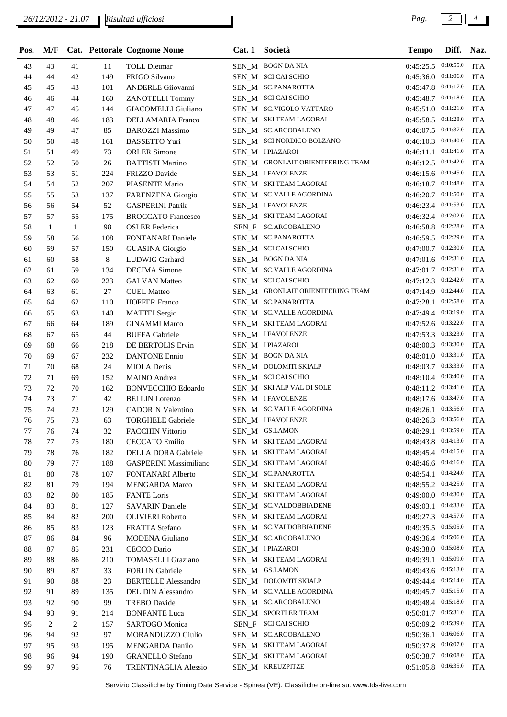| Pos. | M/F          |    |     | Cat. Pettorale Cognome Nome   | Cat.1 | Società                          | <b>Tempo</b>            | Diff.     | Naz.       |
|------|--------------|----|-----|-------------------------------|-------|----------------------------------|-------------------------|-----------|------------|
| 43   | 43           | 41 | 11  | <b>TOLL Dietmar</b>           |       | SEN_M BOGN DA NIA                | $0:45:25.5$ $0:10:55.0$ |           | <b>ITA</b> |
| 44   | 44           | 42 | 149 | <b>FRIGO Silvano</b>          |       | SEN_M SCI CAI SCHIO              | 0:45:36.0 0:11:06.0     |           | <b>ITA</b> |
| 45   | 45           | 43 | 101 | <b>ANDERLE Giiovanni</b>      |       | SEN_M SC.PANAROTTA               | 0:45:47.8 0:11:17.0     |           | <b>ITA</b> |
| 46   | 46           | 44 | 160 | <b>ZANOTELLI Tommy</b>        |       | SEN_M SCI CAI SCHIO              | 0:45:48.7 0:11:18.0     |           | <b>ITA</b> |
| 47   | 47           | 45 | 144 | <b>GIACOMELLI Giuliano</b>    |       | SEN_M SC.VIGOLO VATTARO          | $0:45:51.0$ $0:11:21.0$ |           | <b>ITA</b> |
| 48   | 48           | 46 | 183 | <b>DELLAMARIA Franco</b>      |       | SEN_M SKITEAM LAGORAI            | 0:45:58.5 0:11:28.0     |           | <b>ITA</b> |
| 49   | 49           | 47 | 85  | <b>BAROZZI Massimo</b>        |       | SEN_M SC.ARCOBALENO              | $0:46:07.5$ $0:11:37.0$ |           | <b>ITA</b> |
| 50   | 50           | 48 | 161 | <b>BASSETTO Yuri</b>          |       | SEN_M SCI NORDICO BOLZANO        | $0:46:10.3$ $0:11:40.0$ |           | <b>ITA</b> |
| 51   | 51           | 49 | 73  | <b>ORLER Simone</b>           |       | SEN_M IPIAZAROI                  | $0:46:11.1$ $0:11:41.0$ |           | <b>ITA</b> |
| 52   | 52           | 50 | 26  | <b>BATTISTI Martino</b>       |       | SEN_M GRONLAIT ORIENTEERING TEAM | $0:46:12.5$ $0:11:42.0$ |           | <b>ITA</b> |
| 53   | 53           | 51 | 224 | FRIZZO Davide                 |       | SEN_M IFAVOLENZE                 | $0:46:15.6$ $0:11:45.0$ |           | <b>ITA</b> |
| 54   | 54           | 52 | 207 | PIASENTE Mario                |       | SEN_M SKITEAM LAGORAI            | 0:46:18.7 0:11:48.0     |           | <b>ITA</b> |
| 55   | 55           | 53 | 137 | FARENZENA Giorgio             |       | SEN_M SC.VALLE AGORDINA          | $0:46:20.7$ $0:11:50.0$ |           | <b>ITA</b> |
| 56   | 56           | 54 | 52  | <b>GASPERINI Patrik</b>       |       | SEN_M IFAVOLENZE                 | 0:46:23.4 0:11:53.0     |           | <b>ITA</b> |
| 57   | 57           | 55 | 175 | <b>BROCCATO Francesco</b>     |       | SEN_M SKITEAM LAGORAI            | 0:46:32.4 0:12:02.0     |           | <b>ITA</b> |
| 58   | $\mathbf{1}$ | 1  | 98  | <b>OSLER</b> Federica         |       | SEN_F SC.ARCOBALENO              | $0:46:58.8$ $0:12:28.0$ |           | <b>ITA</b> |
| 59   | 58           | 56 | 108 | <b>FONTANARI</b> Daniele      |       | SEN_M SC.PANAROTTA               | $0:46:59.5$ 0:12:29.0   |           | <b>ITA</b> |
| 60   | 59           | 57 | 150 | <b>GUASINA</b> Giorgio        |       | SEN_M SCI CAI SCHIO              | $0:47:00.7$ 0:12:30.0   |           | <b>ITA</b> |
| 61   | 60           | 58 | 8   | LUDWIG Gerhard                |       | SEN_M BOGN DA NIA                | $0:47:01.6$ $0:12:31.0$ |           | <b>ITA</b> |
| 62   | 61           | 59 | 134 | <b>DECIMA</b> Simone          |       | SEN M SC.VALLE AGORDINA          | $0:47:01.7$ $0:12:31.0$ |           | <b>ITA</b> |
| 63   | 62           | 60 | 223 | <b>GALVAN Matteo</b>          |       | SEN M SCI CAI SCHIO              | $0:47:12.3$ $0:12:42.0$ |           | <b>ITA</b> |
| 64   | 63           | 61 | 27  | <b>CUEL Matteo</b>            |       | SEN_M_GRONLAIT ORIENTEERING TEAM | 0:47:14.9 0:12:44.0     |           | <b>ITA</b> |
| 65   | 64           | 62 | 110 | <b>HOFFER Franco</b>          |       | SEN_M SC.PANAROTTA               | $0:47:28.1$ $0:12:58.0$ |           | <b>ITA</b> |
| 66   | 65           | 63 | 140 | <b>MATTEI</b> Sergio          |       | SEN_M SC.VALLE AGORDINA          | 0:47:49.4 0:13:19.0     |           | <b>ITA</b> |
| 67   | 66           | 64 | 189 | <b>GINAMMI</b> Marco          |       | SEN_M SKITEAM LAGORAI            | $0:47:52.6$ $0:13:22.0$ |           | <b>ITA</b> |
| 68   | 67           | 65 | 44  | <b>BUFFA Gabriele</b>         |       | SEN_M IFAVOLENZE                 | $0:47:53.3$ $0:13:23.0$ |           | <b>ITA</b> |
| 69   | 68           | 66 | 218 | DE BERTOLIS Ervin             |       | SEN_M IPIAZAROI                  | $0:48:00.3$ $0:13:30.0$ |           | <b>ITA</b> |
| 70   | 69           | 67 | 232 | <b>DANTONE</b> Ennio          |       | SEN_M BOGN DA NIA                | $0:48:01.0$ $0:13:31.0$ |           | <b>ITA</b> |
| 71   | 70           | 68 |     |                               |       | SEN_M DOLOMITI SKIALP            | $0:48:03.7$ $0:13:33.0$ |           | <b>ITA</b> |
| 72   | 71           | 69 | 24  | <b>MIOLA</b> Denis            |       |                                  | $0:48:10.4$ $0:13:40.0$ |           | <b>ITA</b> |
|      |              |    | 152 | <b>MAINO</b> Andrea           |       | SEN_M SCI CAI SCHIO              |                         |           |            |
| 73   | 72           | 70 | 162 | <b>BONVECCHIO Edoardo</b>     |       | SEN_M SKI ALP VAL DI SOLE        | $0:48:11.2$ $0:13:41.0$ |           | <b>ITA</b> |
| 74   | 73           | 71 | 42  | <b>BELLIN</b> Lorenzo         |       | SEN_M IFAVOLENZE                 | 0:48:17.6 0:13:47.0     |           | <b>ITA</b> |
| 75   | 74           | 72 | 129 | <b>CADORIN Valentino</b>      |       | SEN M SC.VALLE AGORDINA          | 0:48:26.1               | 0:13:56.0 | <b>ITA</b> |
| 76   | 75           | 73 | 63  | <b>TORGHELE Gabriele</b>      |       | SEN_M IFAVOLENZE                 | 0:48:26.3 0:13:56.0     |           | <b>ITA</b> |
| 77   | 76           | 74 | 32  | <b>FACCHIN Vittorio</b>       |       | SEN_M GS.LAMON                   | 0:48:29.1 0:13:59.0     |           | <b>ITA</b> |
| 78   | 77           | 75 | 180 | <b>CECCATO</b> Emilio         |       | SEN_M SKITEAM LAGORAI            | $0:48:43.8$ $0:14:13.0$ |           | <b>ITA</b> |
| 79   | 78           | 76 | 182 | DELLA DORA Gabriele           |       | SEN_M_ SKI TEAM LAGORAI          | $0:48:45.4$ $0:14:15.0$ |           | <b>ITA</b> |
| 80   | 79           | 77 | 188 | <b>GASPERINI Massimiliano</b> |       | SEN_M SKI TEAM LAGORAI           | $0:48:46.6$ $0:14:16.0$ |           | <b>ITA</b> |
| 81   | 80           | 78 | 107 | FONTANARI Alberto             |       | SEN_M SC.PANAROTTA               | 0:48:54.1 0:14:24.0     |           | <b>ITA</b> |
| 82   | 81           | 79 | 194 | <b>MENGARDA Marco</b>         |       | SEN_M_ SKI TEAM LAGORAI          | 0:48:55.2 0:14:25.0     |           | <b>ITA</b> |
| 83   | 82           | 80 | 185 | <b>FANTE</b> Loris            |       | SEN_M SKITEAM LAGORAI            | 0:49:00.0 0:14:30.0     |           | <b>ITA</b> |
| 84   | 83           | 81 | 127 | <b>SAVARIN Daniele</b>        |       | SEN_M SC.VALDOBBIADENE           | $0:49:03.1$ $0:14:33.0$ |           | <b>ITA</b> |
| 85   | 84           | 82 | 200 | <b>OLIVIERI</b> Roberto       |       | SEN_M SKI TEAM LAGORAI           | 0:49:27.3 0:14:57.0     |           | <b>ITA</b> |
| 86   | 85           | 83 | 123 | <b>FRATTA Stefano</b>         |       | SEN M SC.VALDOBBIADENE           | 0:49:35.5 0:15:05.0     |           | <b>ITA</b> |
| 87   | 86           | 84 | 96  | MODENA Giuliano               |       | SEN_M SC.ARCOBALENO              | 0:49:36.4 0:15:06.0     |           | <b>ITA</b> |
| 88   | 87           | 85 | 231 | CECCO Dario                   |       | SEN_M IPIAZAROI                  | 0:49:38.0 0:15:08.0     |           | <b>ITA</b> |
| 89   | 88           | 86 | 210 | <b>TOMASELLI Graziano</b>     |       | SEN M SKITEAM LAGORAI            | 0:49:39.1 0:15:09.0     |           | <b>ITA</b> |
| 90   | 89           | 87 | 33  | <b>FORLIN</b> Gabriele        |       | SEN_M GS.LAMON                   | 0:49:43.6 0:15:13.0     |           | <b>ITA</b> |
| 91   | 90           | 88 | 23  | <b>BERTELLE Alessandro</b>    |       | SEN_M DOLOMITI SKIALP            | 0:49:44.4 0:15:14.0     |           | <b>ITA</b> |
| 92   | 91           | 89 | 135 | <b>DEL DIN Alessandro</b>     |       | SEN_M_SC.VALLE AGORDINA          | 0:49:45.7 0:15:15.0     |           | <b>ITA</b> |
| 93   | 92           | 90 | 99  | <b>TREBO</b> Davide           |       | SEN_M SC.ARCOBALENO              | 0:49:48.4 0:15:18.0     |           | <b>ITA</b> |
| 94   | 93           | 91 | 214 | <b>BONFANTE Luca</b>          |       | SEN_M SPORTLER TEAM              | $0:50:01.7$ $0:15:31.0$ |           | <b>ITA</b> |
| 95   | 2            | 2  | 157 | SARTOGO Monica                |       | SEN_F SCI CAI SCHIO              | 0:50:09.2 0:15:39.0     |           | <b>ITA</b> |
| 96   | 94           | 92 | 97  | MORANDUZZO Giulio             |       | SEN_M SC.ARCOBALENO              | 0:50:36.1               | 0:16:06.0 | <b>ITA</b> |
| 97   | 95           | 93 | 195 | <b>MENGARDA Danilo</b>        |       | SEN_M SKITEAM LAGORAI            | 0:50:37.8 0:16:07.0     |           | <b>ITA</b> |
| 98   | 96           | 94 | 190 | <b>GRANELLO Stefano</b>       |       | SEN_M SKITEAM LAGORAI            | $0:50:38.7$ $0:16:08.0$ |           | <b>ITA</b> |
| 99   | 97           | 95 | 76  | <b>TRENTINAGLIA Alessio</b>   |       | SEN_M KREUZPITZE                 | $0:51:05.8$ 0:16:35.0   |           | <b>ITA</b> |

Servizio Classifiche by Timing Data Service - Spinea (VE). Classifiche on-line su: www.tds-live.com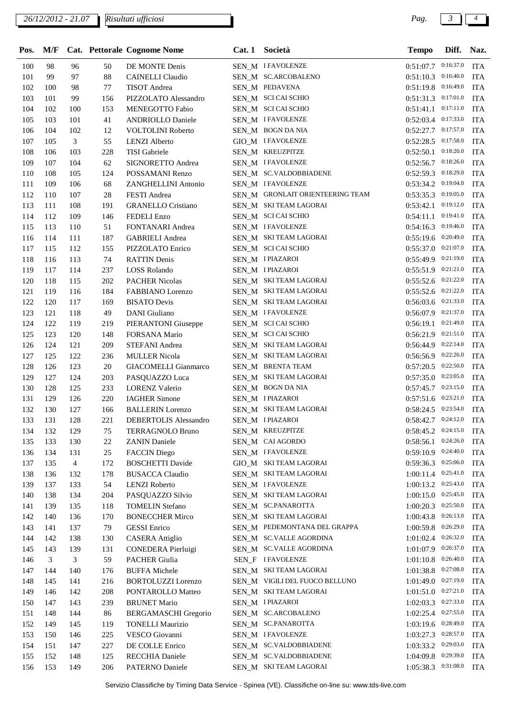| Pos. | M/F |                |        | Cat. Pettorale Cognome Nome  | Cat.1 | Società                          | <b>Tempo</b>            | Diff.     | Naz.       |
|------|-----|----------------|--------|------------------------------|-------|----------------------------------|-------------------------|-----------|------------|
| 100  | 98  | 96             | 50     | DE MONTE Denis               |       | SEN_M IFAVOLENZE                 | $0:51:07.7$ 0:16:37.0   |           | <b>ITA</b> |
| 101  | 99  | 97             | 88     | <b>CAINELLI</b> Claudio      |       | SEN_M SC.ARCOBALENO              | $0:51:10.3$ $0:16:40.0$ |           | <b>ITA</b> |
| 102  | 100 | 98             | 77     | TISOT Andrea                 |       | SEN M PEDAVENA                   | $0:51:19.8$ 0:16:49.0   |           | <b>ITA</b> |
| 103  | 101 | 99             | 156    | PIZZOLATO Alessandro         |       | SEN_M_ SCI CAI SCHIO             | 0:51:31.3 0:17:01.0     |           | <b>ITA</b> |
| 104  | 102 | 100            | 153    | MENEGOTTO Fabio              |       | SEN_M SCI CAI SCHIO              | $0:51:41.1$ $0:17:11.0$ |           | <b>ITA</b> |
| 105  | 103 | 101            | 41     | <b>ANDRIOLLO Daniele</b>     |       | SEN_M IFAVOLENZE                 | 0:52:03.4 0:17:33.0     |           | <b>ITA</b> |
| 106  | 104 | 102            | 12     | VOLTOLINI Roberto            |       | SEN_M BOGN DA NIA                | 0:52:27.7 0:17:57.0     |           | <b>ITA</b> |
| 107  | 105 | 3              | 55     | <b>LENZI</b> Alberto         |       | GIO_M IFAVOLENZE                 | $0:52:28.5$ $0:17:58.0$ |           | <b>ITA</b> |
| 108  | 106 | 103            | 228    | <b>TISI</b> Gabriele         |       | SEN_M KREUZPITZE                 | 0:52:50.1               | 0:18:20.0 | <b>ITA</b> |
| 109  | 107 | 104            | 62     | SIGNORETTO Andrea            |       | SEN_M IFAVOLENZE                 | $0:52:56.7$ 0:18:26.0   |           | <b>ITA</b> |
| 110  | 108 | 105            | 124    | POSSAMANI Renzo              |       | SEN_M SC.VALDOBBIADENE           | $0:52:59.3$ $0:18:29.0$ |           | <b>ITA</b> |
| 111  | 109 | 106            | 68     | ZANGHELLINI Antonio          |       | SEN_M IFAVOLENZE                 | 0:53:34.2 0:19:04.0     |           | <b>ITA</b> |
| 112  | 110 | 107            | 28     | FESTI Andrea                 |       | SEN_M GRONLAIT ORIENTEERING TEAM | $0:53:35.3$ $0:19:05.0$ |           | <b>ITA</b> |
| 113  | 111 | 108            | 191    | <b>GRANELLO Cristiano</b>    |       | SEN_M_SKI TEAM LAGORAI           | $0:53:42.1$ $0:19:12.0$ |           | <b>ITA</b> |
| 114  | 112 | 109            | 146    | FEDELI Enzo                  |       | SEN_M SCI CAI SCHIO              | 0:54:11.1               | 0:19:41.0 | <b>ITA</b> |
| 115  | 113 | 110            | 51     | FONTANARI Andrea             |       | SEN_M IFAVOLENZE                 | $0:54:16.3$ 0:19:46.0   |           | <b>ITA</b> |
| 116  | 114 | 111            | 187    | <b>GABRIELI</b> Andrea       |       | SEN_M SKITEAM LAGORAI            | $0:55:19.6$ $0:20:49.0$ |           | <b>ITA</b> |
| 117  | 115 | 112            | 155    | PIZZOLATO Enrico             |       | SEN_M SCI CAI SCHIO              | $0:55:37.0$ $0:21:07.0$ |           | <b>ITA</b> |
| 118  | 116 | 113            | 74     | <b>RATTIN Denis</b>          |       | SEN_M IPIAZAROI                  | 0:55:49.9 0:21:19.0     |           | <b>ITA</b> |
| 119  | 117 | 114            | 237    | LOSS Rolando                 |       | SEN_M IPIAZAROI                  | $0:55:51.9$ $0:21:21.0$ |           | <b>ITA</b> |
| 120  | 118 | 115            | 202    | <b>PACHER Nicolas</b>        |       | SEN_M SKITEAM LAGORAI            | $0:55:52.6$ $0:21:22.0$ |           | <b>ITA</b> |
| 121  | 119 | 116            | 184    | FABBIANO Lorenzo             |       | SEN_M SKITEAM LAGORAI            | $0:55:52.6$ $0:21:22.0$ |           | <b>ITA</b> |
| 122  | 120 | 117            | 169    | <b>BISATO</b> Devis          |       | SEN_M SKITEAM LAGORAI            | $0:56:03.6$ $0:21:33.0$ |           | <b>ITA</b> |
| 123  | 121 | 118            | 49     | DANI Giuliano                |       | SEN_M IFAVOLENZE                 | $0:56:07.9$ $0:21:37.0$ |           | <b>ITA</b> |
| 124  | 122 | 119            | 219    | <b>PIERANTONI</b> Giuseppe   |       | SEN_M SCI CAI SCHIO              | $0:56:19.1$ $0:21:49.0$ |           | <b>ITA</b> |
| 125  | 123 | 120            | 148    | FORSANA Mario                |       | SEN_M SCI CAI SCHIO              | $0:56:21.9$ $0:21:51.0$ |           | <b>ITA</b> |
| 126  | 124 | 121            | 209    | STEFANI Andrea               |       | SEN M SKITEAM LAGORAI            | $0:56:44.9$ $0:22:14.0$ |           | <b>ITA</b> |
| 127  | 125 | 122            | 236    | <b>MULLER Nicola</b>         |       | SEN M SKITEAM LAGORAI            | $0:56:56.9$ 0:22:26.0   |           | <b>ITA</b> |
| 128  | 126 | 123            | $20\,$ | <b>GIACOMELLI Gianmarco</b>  |       | SEN_M BRENTA TEAM                | $0:57:20.5$ 0:22:50.0   |           | <b>ITA</b> |
| 129  | 127 | 124            | 203    | PASQUAZZO Luca               |       | SEN_M SKITEAM LAGORAI            | $0:57:35.0$ $0:23:05.0$ |           | <b>ITA</b> |
| 130  | 128 | 125            | 233    | <b>LORENZ Valerio</b>        |       | SEN_M BOGN DA NIA                | $0:57:45.7$ 0:23:15.0   |           | <b>ITA</b> |
| 131  | 129 | 126            | 220    | <b>IAGHER Simone</b>         |       | SEN_M IPIAZAROI                  | $0:57:51.6$ $0:23:21.0$ |           | <b>ITA</b> |
| 132  | 130 | 127            | 166    | <b>BALLERIN Lorenzo</b>      |       | SEN_M SKITEAM LAGORAI            | $0:58:24.5$ $0:23:54.0$ |           | <b>ITA</b> |
| 133  | 131 | 128            | 221    | <b>DEBERTOLIS Alessandro</b> |       | SEN_M IPIAZAROI                  | $0:58:42.7$ $0:24:12.0$ |           | <b>ITA</b> |
| 134  | 132 | 129            | 75     | <b>TERRAGNOLO Bruno</b>      |       | SEN_M KREUZPITZE                 | $0:58:45.2$ $0:24:15.0$ |           | <b>ITA</b> |
| 135  | 133 | 130            | $22\,$ | <b>ZANIN</b> Daniele         |       | SEN_M CAI AGORDO                 | $0:58:56.1$ $0:24:26.0$ |           | <b>ITA</b> |
| 136  | 134 | 131            | $25\,$ | <b>FACCIN Diego</b>          |       | SEN_M IFAVOLENZE                 | $0:59:10.9$ 0:24:40.0   |           | <b>ITA</b> |
| 137  | 135 | $\overline{4}$ | 172    | <b>BOSCHETTI</b> Davide      |       | GIO_M SKI TEAM LAGORAI           | 0:59:36.3 0:25:06.0     |           | <b>ITA</b> |
| 138  | 136 | 132            | 178    | <b>BUSACCA Claudio</b>       |       | SEN_M SKITEAM LAGORAI            | 1:00:11.4 0:25:41.0     |           | <b>ITA</b> |
| 139  | 137 | 133            | 54     | <b>LENZI</b> Roberto         |       | SEN_M IFAVOLENZE                 | 1:00:13.2 0:25:43.0     |           | <b>ITA</b> |
| 140  | 138 | 134            | 204    | PASQUAZZO Silvio             |       | SEN_M SKITEAM LAGORAI            | $1:00:15.0$ 0:25:45.0   |           | <b>ITA</b> |
| 141  | 139 | 135            | 118    | <b>TOMELIN Stefano</b>       |       | SEN_M SC.PANAROTTA               | $1:00:20.3$ 0:25:50.0   |           | <b>ITA</b> |
| 142  | 140 | 136            | 170    | <b>BONECCHER Mirco</b>       |       | SEN_M SKITEAM LAGORAI            | $1:00:43.8$ 0:26:13.0   |           | <b>ITA</b> |
| 143  | 141 | 137            | 79     | <b>GESSI</b> Enrico          |       | SEN_M PEDEMONTANA DEL GRAPPA     | 1:00:59.8 0:26:29.0     |           | <b>ITA</b> |
| 144  | 142 | 138            | 130    | <b>CASERA</b> Attiglio       |       | SEN_M SC.VALLE AGORDINA          | 1:01:02.4 0:26:32.0     |           | <b>ITA</b> |
| 145  | 143 | 139            | 131    | CONEDERA Pierluigi           |       | SEN_M SC.VALLE AGORDINA          | 1:01:07.9 0:26:37.0     |           | <b>ITA</b> |
| 146  | 3   | 3              | 59     | <b>PACHER Giulia</b>         |       | SEN_F IFAVOLENZE                 | $1:01:10.8$ 0:26:40.0   |           | <b>ITA</b> |
| 147  | 144 | 140            | 176    | <b>BUFFA Michele</b>         |       | SEN_M SKITEAM LAGORAI            | 1:01:38.8 0:27:08.0     |           | <b>ITA</b> |
| 148  | 145 | 141            | 216    | <b>BORTOLUZZI</b> Lorenzo    |       | SEN_M VIGILI DEL FUOCO BELLUNO   | 1:01:49.0 0:27:19.0     |           | <b>ITA</b> |
| 149  | 146 | 142            | 208    | PONTAROLLO Matteo            |       | SEN_M SKITEAM LAGORAI            | $1:01:51.0$ 0:27:21.0   |           | <b>ITA</b> |
| 150  | 147 | 143            | 239    | <b>BRUNET Mario</b>          |       | SEN_M IPIAZAROI                  | $1:02:03.3$ 0:27:33.0   |           | <b>ITA</b> |
| 151  | 148 | 144            | 86     | BERGAMASCHI Gregorio         |       | SEN_M SC.ARCOBALENO              | 1:02:25.4 0:27:55.0     |           | <b>ITA</b> |
| 152  | 149 | 145            | 119    | <b>TONELLI Maurizio</b>      |       | SEN_M SC.PANAROTTA               | 1:03:19.6 0:28:49.0     |           | <b>ITA</b> |
| 153  | 150 | 146            | 225    | VESCO Giovanni               |       | SEN_M IFAVOLENZE                 | 1:03:27.3 0:28:57.0     |           | <b>ITA</b> |
| 154  | 151 | 147            | 227    | DE COLLE Enrico              |       | SEN_M SC.VALDOBBIADENE           | 1:03:33.2 0:29:03.0     |           | <b>ITA</b> |
| 155  | 152 | 148            | 125    | RECCHIA Daniele              |       | SEN_M SC.VALDOBBIADENE           | $1:04:09.8$ 0:29:39.0   |           | <b>ITA</b> |
| 156  | 153 | 149            | 206    | PATERNO Daniele              |       | SEN_M SKITEAM LAGORAI            | 1:05:38.3 0:31:08.0     |           | <b>ITA</b> |

Servizio Classifiche by Timing Data Service - Spinea (VE). Classifiche on-line su: www.tds-live.com